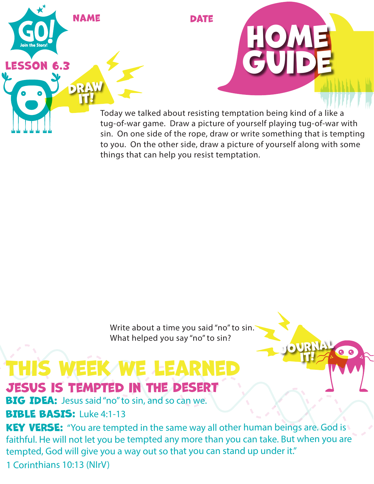

Today we talked about resisting temptation being kind of a like a tug-of-war game. Draw a picture of yourself playing tug-of-war with sin. On one side of the rope, draw or write something that is tempting to you. On the other side, draw a picture of yourself along with some things that can help you resist temptation.

Home

GUIDE

JOURNAL

Write about a time you said "no" to sin. What helped you say "no" to sin?

## Jesus is Tempted in the Desert This week we learned

**BIG IDEA:** Jesus said "no" to sin, and so can we.

## **BIBLE BASIS: Luke 4:1-13**

KEY VERSE: "You are tempted in the same way all other human beings are. God is faithful. He will not let you be tempted any more than you can take. But when you are tempted, God will give you a way out so that you can stand up under it." 1 Corinthians 10:13 (NIrV)